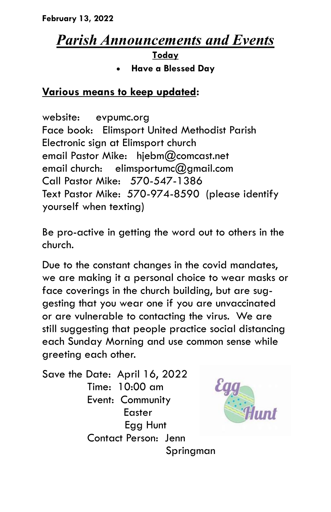**February 13, 2022**

## *Parish Announcements and Events*

**Today**

**Have a Blessed Day**

## **Various means to keep updated:**

website: evpumc.org Face book: Elimsport United Methodist Parish Electronic sign at Elimsport church email Pastor Mike: hjebm@comcast.net email church: elimsportumc@gmail.com Call Pastor Mike: 570-547-1386 Text Pastor Mike: 570-974-8590 (please identify yourself when texting)

Be pro-active in getting the word out to others in the church.

Due to the constant changes in the covid mandates, we are making it a personal choice to wear masks or face coverings in the church building, but are suggesting that you wear one if you are unvaccinated or are vulnerable to contacting the virus. We are still suggesting that people practice social distancing each Sunday Morning and use common sense while greeting each other.

Save the Date: April 16, 2022 Time: 10:00 am Event: Community Easter Egg Hunt Contact Person: Jenn



Springman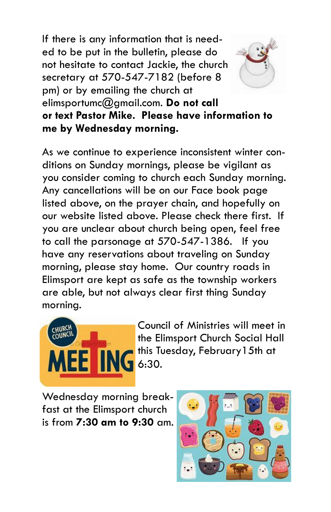If there is any information that is needed to be put in the bulletin, please do not hesitate to contact Jackie, the church secretary at 570-547-7182 (before 8 pm) or by emailing the church at elimsportumc@gmail.com. **Do not call or text Pastor Mike. Please have information to me by Wednesday morning.**

As we continue to experience inconsistent winter conditions on Sunday mornings, please be vigilant as you consider coming to church each Sunday morning. Any cancellations will be on our Face book page listed above, on the prayer chain, and hopefully on our website listed above. Please check there first. If you are unclear about church being open, feel free to call the parsonage at 570-547-1386. If you have any reservations about traveling on Sunday morning, please stay home. Our country roads in Elimsport are kept as safe as the township workers are able, but not always clear first thing Sunday morning.



Council of Ministries will meet in the Elimsport Church Social Hall this Tuesday, February15th at

Wednesday morning breakfast at the Elimsport church is from **7:30 am to 9:30** am.

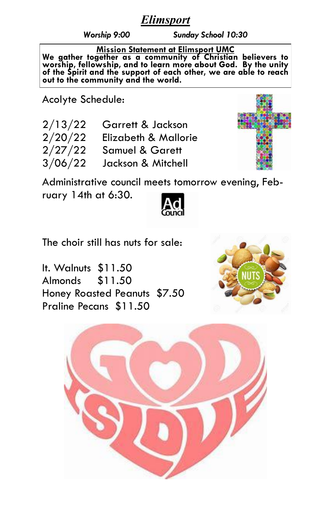## *Elimsport*

*Worship 9:00 Sunday School 10:30*

**Mission Statement at Elimsport UMC**

**We gather together as a community of Christian believers to worship, fellowship, and to learn more about God. By the unity of the Spirit and the support of each other, we are able to reach out to the community and the world.**

Acolyte Schedule:

| 2/13/22 | Garrett & Jackson          |
|---------|----------------------------|
| 2/20/22 | Elizabeth & Mallorie       |
| 2/27/22 | <b>Samuel &amp; Garett</b> |
| 3/06/22 | Jackson & Mitchell         |



Administrative council meets tomorrow evening, February 14th at 6:30.



The choir still has nuts for sale:

It. Walnuts \$11.50 Almonds \$11.50 Honey Roasted Peanuts \$7.50 Praline Pecans \$11.50